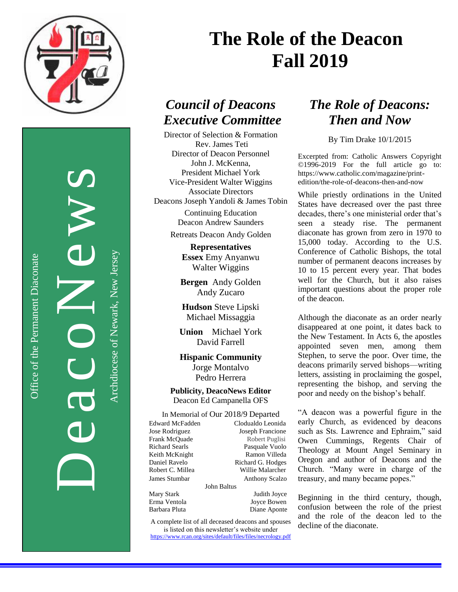

Office of the Permanent Diaconate

Office of the Permanent Diaconate

DeacoNews News Archdiocese of Newark, New Jersey

Archdiocese of Newark, New Jersey

# **The Role of the Deacon Fall 2019**

## *Council of Deacons Executive Committee*

Director of Selection & Formation Rev. James Teti Director of Deacon Personnel John J. McKenna, President Michael York Vice-President Walter Wiggins Associate Directors Deacons Joseph Yandoli & James Tobin

> Continuing Education Deacon Andrew Saunders

Retreats Deacon Andy Golden

**Representatives Essex** Emy Anyanwu Walter Wiggins

**Bergen** Andy Golden Andy Zucaro

**Hudson** Steve Lipski Michael Missaggia

**Union** Michael York David Farrell

**Hispanic Community** Jorge Montalvo Pedro Herrera

**Publicity, DeacoNews Editor** Deacon Ed Campanella OFS

In Memorial of Our 2018/9 Departed

| <b>Edward McFadden</b> |         |
|------------------------|---------|
| Jose Rodriguez         |         |
| Frank McOuade          |         |
| Richard Searls         |         |
| Keith McKnight         |         |
| Daniel Ravelo          |         |
| Robert C. Millea       |         |
| James Stumbar          |         |
|                        | John Ba |
| Mary Stark             |         |

Erma Ventola<br>
Barbara Pluta<br>
Diane Aponte

Clodualdo Leonida Joseph Francione Robert Puglisi Pasquale Vuolo Ramon Villeda Richard G. Hodges Willie Malarcher Anthony Scalzo

altus

Mary Stark Judith Joyce Diane Aponte

A complete list of all deceased deacons and spouses is listed on this newsletter's website under <https://www.rcan.org/sites/default/files/files/necrology.pdf>

## *The Role of Deacons: Then and Now*

By Tim Drake 10/1/2015

Excerpted from: Catholic Answers Copyright ©1996-2019 For the full article go to: https://www.catholic.com/magazine/printedition/the-role-of-deacons-then-and-now

While priestly ordinations in the United States have decreased over the past three decades, there's one ministerial order that's seen a steady rise. The permanent diaconate has grown from zero in 1970 to 15,000 today. According to the U.S. Conference of Catholic Bishops, the total number of permanent deacons increases by 10 to 15 percent every year. That bodes well for the Church, but it also raises important questions about the proper role of the deacon.

Although the diaconate as an order nearly disappeared at one point, it dates back to the New Testament. In Acts 6, the apostles appointed seven men, among them Stephen, to serve the poor. Over time, the deacons primarily served bishops—writing letters, assisting in proclaiming the gospel, representing the bishop, and serving the poor and needy on the bishop's behalf.

"A deacon was a powerful figure in the early Church, as evidenced by deacons such as Sts. Lawrence and Ephraim," said Owen Cummings, Regents Chair of Theology at Mount Angel Seminary in Oregon and author of Deacons and the Church. "Many were in charge of the treasury, and many became popes."

Beginning in the third century, though, confusion between the role of the priest and the role of the deacon led to the decline of the diaconate.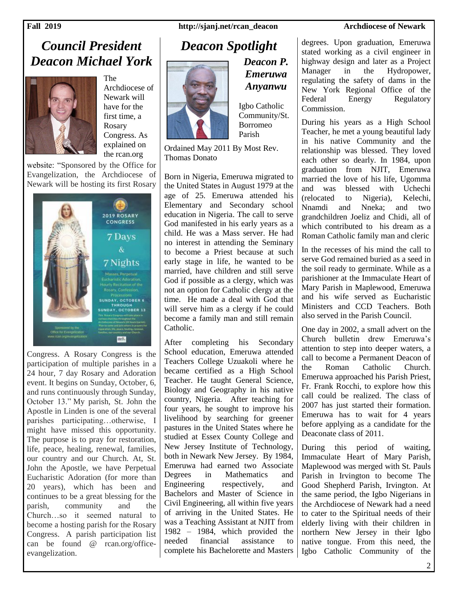### **Fall 2019 http://sjanj.net/rcan\_deacon Archdiocese of Newark**

## *Council President Deacon Michael York*



The Archdiocese of Newark will have for the first time, a Rosary Congress. As explained on the rcan.org

website: "Sponsored by the Office for Evangelization, the Archdiocese of Newark will be hosting its first Rosary



Congress. A Rosary Congress is the participation of multiple parishes in a 24 hour, 7 day Rosary and Adoration event. It begins on Sunday, October, 6, and runs continuously through Sunday, October 13." My parish, St. John the Apostle in Linden is one of the several parishes participating…otherwise, I might have missed this opportunity. The purpose is to pray for restoration, life, peace, healing, renewal, families, our country and our Church. At, St. John the Apostle, we have Perpetual Eucharistic Adoration (for more than 20 years), which has been and continues to be a great blessing for the parish, community and the Church…so it seemed natural to become a hosting parish for the Rosary Congress. A parish participation list can be found @ rcan.org/officeevangelization.

## *Deacon Spotlight*



Igbo Catholic Community/St. Borromeo Parish

*Deacon P. Emeruwa Anyanwu*

Ordained May 2011 By Most Rev. Thomas Donato

Born in Nigeria, Emeruwa migrated to the United States in August 1979 at the age of 25. Emeruwa attended his Elementary and Secondary school education in Nigeria. The call to serve God manifested in his early years as a child. He was a Mass server. He had no interest in attending the Seminary to become a Priest because at such early stage in life, he wanted to be married, have children and still serve God if possible as a clergy, which was not an option for Catholic clergy at the time. He made a deal with God that will serve him as a clergy if he could become a family man and still remain Catholic.

After completing his Secondary School education, Emeruwa attended Teachers College Uzuakoli where he became certified as a High School Teacher. He taught General Science, Biology and Geography in his native country, Nigeria. After teaching for four years, he sought to improve his livelihood by searching for greener pastures in the United States where he studied at Essex County College and New Jersey Institute of Technology, both in Newark New Jersey. By 1984, Emeruwa had earned two Associate Degrees in Mathematics and Engineering respectively, and Bachelors and Master of Science in Civil Engineering, all within five years of arriving in the United States. He was a Teaching Assistant at NJIT from 1982 – 1984, which provided the needed financial assistance to complete his Bachelorette and Masters

degrees. Upon graduation, Emeruwa stated working as a civil engineer in highway design and later as a Project Manager in the Hydropower, regulating the safety of dams in the New York Regional Office of the Federal Energy Regulatory Commission.

During his years as a High School Teacher, he met a young beautiful lady in his native Community and the relationship was blessed. They loved each other so dearly. In 1984, upon graduation from NJIT, Emeruwa married the love of his life, Ugomma and was blessed with Uchechi<br>
(relocated to Nigeria). Kelechi. (relocated to Nigeria), Nnamdi and Nneka; and two grandchildren Joeliz and Chidi, all of which contributed to his dream as a Roman Catholic family man and cleric

In the recesses of his mind the call to serve God remained buried as a seed in the soil ready to germinate. While as a parishioner at the Immaculate Heart of Mary Parish in Maplewood, Emeruwa and his wife served as Eucharistic Ministers and CCD Teachers. Both also served in the Parish Council.

One day in 2002, a small advert on the Church bulletin drew Emeruwa's attention to step into deeper waters, a call to become a Permanent Deacon of the Roman Catholic Church. Emeruwa approached his Parish Priest, Fr. Frank Rocchi, to explore how this call could be realized. The class of 2007 has just started their formation. Emeruwa has to wait for 4 years before applying as a candidate for the Deaconate class of 2011.

During this period of waiting, Immaculate Heart of Mary Parish, Maplewood was merged with St. Pauls Parish in Irvington to become The Good Shepherd Parish, Irvington. At the same period, the Igbo Nigerians in the Archdiocese of Newark had a need to cater to the Spiritual needs of their elderly living with their children in northern New Jersey in their Igbo native tongue. From this need, the Igbo Catholic Community of the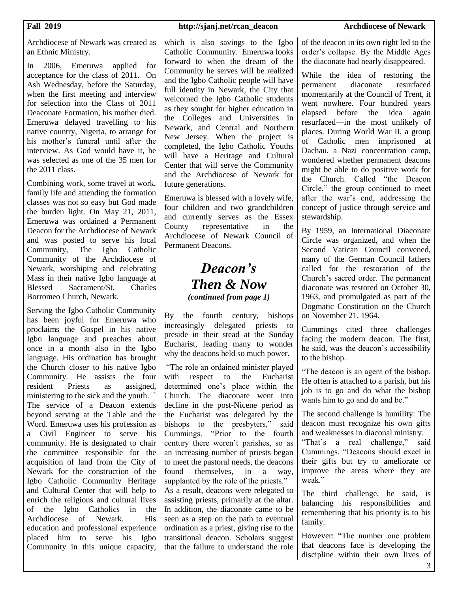Archdiocese of Newark was created as an Ethnic Ministry.

In 2006, Emeruwa applied for acceptance for the class of 2011. On Ash Wednesday, before the Saturday, when the first meeting and interview for selection into the Class of 2011 Deaconate Formation, his mother died. Emeruwa delayed travelling to his native country, Nigeria, to arrange for his mother's funeral until after the interview. As God would have it, he was selected as one of the 35 men for the 2011 class.

Combining work, some travel at work, family life and attending the formation classes was not so easy but God made the burden light. On May 21, 2011, Emeruwa was ordained a Permanent Deacon for the Archdiocese of Newark and was posted to serve his local Community, The Igbo Catholic Community of the Archdiocese of Newark, worshiping and celebrating Mass in their native Igbo language at Blessed Sacrament/St. Charles Borromeo Church, Newark.

Serving the Igbo Catholic Community has been joyful for Emeruwa who proclaims the Gospel in his native Igbo language and preaches about once in a month also in the Igbo language. His ordination has brought the Church closer to his native Igbo Community. He assists the four resident Priests as assigned, ministering to the sick and the youth. ` The service of a Deacon extends beyond serving at the Table and the Word. Emeruwa uses his profession as a Civil Engineer to serve his community. He is designated to chair the committee responsible for the acquisition of land from the City of Newark for the construction of the Igbo Catholic Community Heritage and Cultural Center that will help to enrich the religious and cultural lives of the Igbo Catholics in the Archdiocese of Newark. His education and professional experience placed him to serve his Igbo Community in this unique capacity,

### which is also savings to the Igbo Catholic Community. Emeruwa looks forward to when the dream of the Community he serves will be realized and the Igbo Catholic people will have full identity in Newark, the City that welcomed the Igbo Catholic students as they sought for higher education in the Colleges and Universities in Newark, and Central and Northern New Jersey. When the project is completed, the Igbo Catholic Youths will have a Heritage and Cultural Center that will serve the Community

Emeruwa is blessed with a lovely wife, four children and two grandchildren and currently serves as the Essex County representative in the Archdiocese of Newark Council of Permanent Deacons.

and the Archdiocese of Newark for

future generations.

## *Deacon's Then & Now (continued from page 1)*

By the fourth century, bishops increasingly delegated priests to preside in their stead at the Sunday Eucharist, leading many to wonder why the deacons held so much power.

"The role an ordained minister played with respect to the Eucharist determined one's place within the Church. The diaconate went into decline in the post-Nicene period as the Eucharist was delegated by the bishops to the presbyters," said Cummings. "Prior to the fourth century there weren't parishes, so as an increasing number of priests began to meet the pastoral needs, the deacons found themselves, in a way, supplanted by the role of the priests."

As a result, deacons were relegated to assisting priests, primarily at the altar. In addition, the diaconate came to be seen as a step on the path to eventual ordination as a priest, giving rise to the transitional deacon. Scholars suggest that the failure to understand the role of the deacon in its own right led to the order's collapse. By the Middle Ages the diaconate had nearly disappeared.

While the idea of restoring the permanent diaconate resurfaced momentarily at the Council of Trent, it went nowhere. Four hundred years elapsed before the idea again resurfaced—in the most unlikely of places. During World War II, a group of Catholic men imprisoned at Dachau, a Nazi concentration camp, wondered whether permanent deacons might be able to do positive work for the Church. Called "the Deacon Circle," the group continued to meet after the war's end, addressing the concept of justice through service and stewardship.

By 1959, an International Diaconate Circle was organized, and when the Second Vatican Council convened, many of the German Council fathers called for the restoration of the Church's sacred order. The permanent diaconate was restored on October 30, 1963, and promulgated as part of the Dogmatic Constitution on the Church on November 21, 1964.

Cummings cited three challenges facing the modern deacon. The first, he said, was the deacon's accessibility to the bishop.

"The deacon is an agent of the bishop. He often is attached to a parish, but his job is to go and do what the bishop wants him to go and do and be."

The second challenge is humility: The deacon must recognize his own gifts and weaknesses in diaconal ministry.

"That's a real challenge," said Cummings. "Deacons should excel in their gifts but try to ameliorate or improve the areas where they are weak."

The third challenge, he said, is balancing his responsibilities and remembering that his priority is to his family.

However: "The number one problem that deacons face is developing the discipline within their own lives of